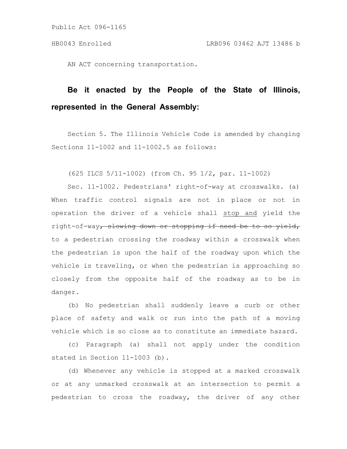Public Act 096-1165

AN ACT concerning transportation.

## **Be it enacted by the People of the State of Illinois, represented in the General Assembly:**

Section 5. The Illinois Vehicle Code is amended by changing Sections 11-1002 and 11-1002.5 as follows:

(625 ILCS 5/11-1002) (from Ch. 95 1/2, par. 11-1002)

Sec. 11-1002. Pedestrians' right-of-way at crosswalks. (a) When traffic control signals are not in place or not in operation the driver of a vehicle shall stop and yield the right-of-way, slowing down or stopping if need be to so yield, to a pedestrian crossing the roadway within a crosswalk when the pedestrian is upon the half of the roadway upon which the vehicle is traveling, or when the pedestrian is approaching so closely from the opposite half of the roadway as to be in danger.

(b) No pedestrian shall suddenly leave a curb or other place of safety and walk or run into the path of a moving vehicle which is so close as to constitute an immediate hazard.

(c) Paragraph (a) shall not apply under the condition stated in Section 11-1003 (b).

(d) Whenever any vehicle is stopped at a marked crosswalk or at any unmarked crosswalk at an intersection to permit a pedestrian to cross the roadway, the driver of any other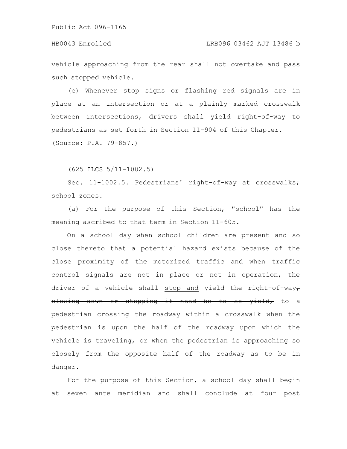## HB0043 Enrolled LRB096 03462 AJT 13486 b

vehicle approaching from the rear shall not overtake and pass such stopped vehicle.

(e) Whenever stop signs or flashing red signals are in place at an intersection or at a plainly marked crosswalk between intersections, drivers shall yield right-of-way to pedestrians as set forth in Section 11-904 of this Chapter. (Source: P.A. 79-857.)

(625 ILCS 5/11-1002.5)

Sec. 11-1002.5. Pedestrians' right-of-way at crosswalks; school zones.

(a) For the purpose of this Section, "school" has the meaning ascribed to that term in Section 11-605.

On a school day when school children are present and so close thereto that a potential hazard exists because of the close proximity of the motorized traffic and when traffic control signals are not in place or not in operation, the driver of a vehicle shall stop and yield the right-of-wayslowing down or stopping if need be to so yield, to a pedestrian crossing the roadway within a crosswalk when the pedestrian is upon the half of the roadway upon which the vehicle is traveling, or when the pedestrian is approaching so closely from the opposite half of the roadway as to be in danger.

For the purpose of this Section, a school day shall begin at seven ante meridian and shall conclude at four post